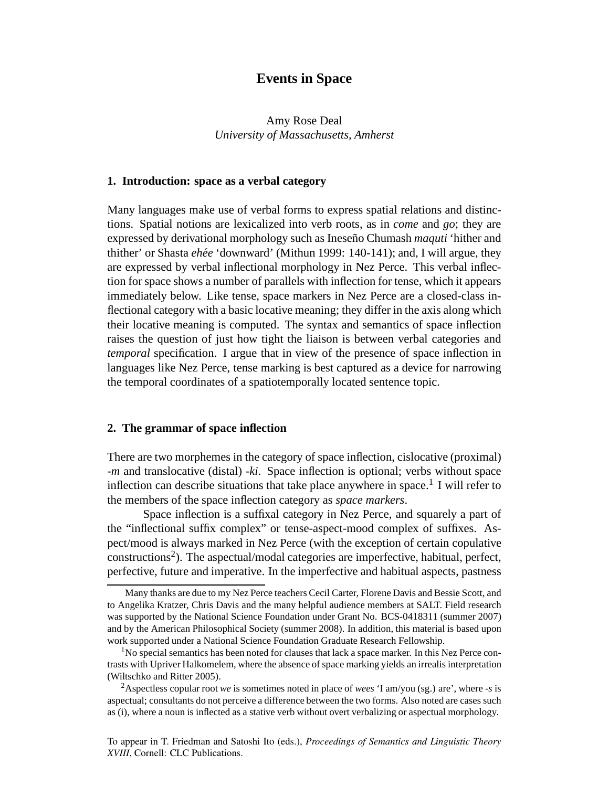# **Events in Space**

## Amy Rose Deal *University of Massachusetts, Amherst*

## **1. Introduction: space as a verbal category**

Many languages make use of verbal forms to express spatial relations and distinctions. Spatial notions are lexicalized into verb roots, as in *come* and *go*; they are expressed by derivational morphology such as Ineseño Chumash *maquti* 'hither and thither' or Shasta *ehee´* 'downward' (Mithun 1999: 140-141); and, I will argue, they are expressed by verbal inflectional morphology in Nez Perce. This verbal inflection for space shows a number of parallels with inflection for tense, which it appears immediately below. Like tense, space markers in Nez Perce are a closed-class inflectional category with a basic locative meaning; they differ in the axis along which their locative meaning is computed. The syntax and semantics of space inflection raises the question of just how tight the liaison is between verbal categories and *temporal* specification. I argue that in view of the presence of space inflection in languages like Nez Perce, tense marking is best captured as a device for narrowing the temporal coordinates of a spatiotemporally located sentence topic.

## **2. The grammar of space inflection**

There are two morphemes in the category of space inflection, cislocative (proximal) *-m* and translocative (distal) *-ki*. Space inflection is optional; verbs without space inflection can describe situations that take place anywhere in space.<sup>1</sup> I will refer to the members of the space inflection category as *space markers*.

Space inflection is a suffixal category in Nez Perce, and squarely a part of the "inflectional suffix complex" or tense-aspect-mood complex of suffixes. Aspect/mood is always marked in Nez Perce (with the exception of certain copulative constructions<sup>2</sup>). The aspectual/modal categories are imperfective, habitual, perfect, perfective, future and imperative. In the imperfective and habitual aspects, pastness

Many thanks are due to my Nez Perce teachers Cecil Carter, Florene Davis and Bessie Scott, and to Angelika Kratzer, Chris Davis and the many helpful audience members at SALT. Field research was supported by the National Science Foundation under Grant No. BCS-0418311 (summer 2007) and by the American Philosophical Society (summer 2008). In addition, this material is based upon work supported under a National Science Foundation Graduate Research Fellowship.

 $<sup>1</sup>No$  special semantics has been noted for clauses that lack a space marker. In this Nez Perce con-</sup> trasts with Upriver Halkomelem, where the absence of space marking yields an irrealis interpretation (Wiltschko and Ritter 2005).

<sup>2</sup>Aspectless copular root *we* is sometimes noted in place of *wees* 'I am/you (sg.) are', where *-s* is aspectual; consultants do not perceive a difference between the two forms. Also noted are cases such as (i), where a noun is inflected as a stative verb without overt verbalizing or aspectual morphology.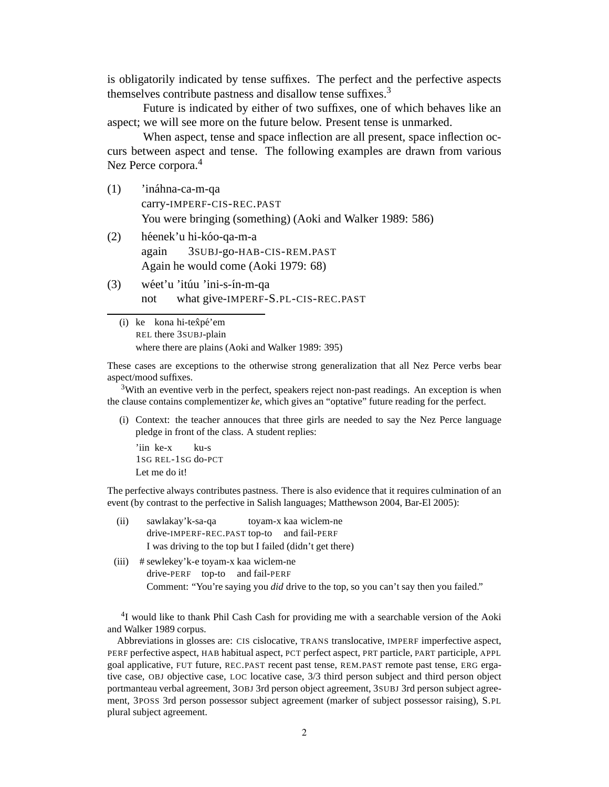is obligatorily indicated by tense suffixes. The perfect and the perfective aspects themselves contribute pastness and disallow tense suffixes.<sup>3</sup>

Future is indicated by either of two suffixes, one of which behaves like an aspect; we will see more on the future below. Present tense is unmarked.

When aspect, tense and space inflection are all present, space inflection occurs between aspect and tense. The following examples are drawn from various Nez Perce corpora.<sup>4</sup>

- $(1)$  'ináhna-ca-m-qa carry-IMPERF-CIS-REC.PAST You were bringing (something) (Aoki and Walker 1989: 586)
- (2) héenek'u hi-kóo-qa-m-a again 3SUBJ-go-HAB-CIS-REM.PAST Again he would come (Aoki 1979: 68)
- (3) wéet'u 'itúu 'ini-s-ín-m-qa not what give-IMPERF-S.PL-CIS-REC.PAST
	- (i) ke kona hi-texpé'em REL there 3SUBJ-plain where there are plains (Aoki and Walker 1989: 395)

These cases are exceptions to the otherwise strong generalization that all Nez Perce verbs bear aspect/mood suffixes.

 $3$ With an eventive verb in the perfect, speakers reject non-past readings. An exception is when the clause contains complementizer *ke*, which gives an "optative" future reading for the perfect.

(i) Context: the teacher annouces that three girls are needed to say the Nez Perce language pledge in front of the class. A student replies:

'iin ke-x 1SG REL-1SG do-PCT ku-s Let me do it!

The perfective always contributes pastness. There is also evidence that it requires culmination of an event (by contrast to the perfective in Salish languages; Matthewson 2004, Bar-El 2005):

- (ii) sawlakay'k-sa-qa drive-IMPERF-REC.PAST top-to and fail-PERF toyam-x kaa wiclem-ne I was driving to the top but I failed (didn't get there)
- (iii) # sewlekey'k-e toyam-x kaa wiclem-ne drive-PERF top-to and fail-PERF Comment: "You're saying you *did* drive to the top, so you can't say then you failed."

<sup>4</sup>I would like to thank Phil Cash Cash for providing me with a searchable version of the Aoki and Walker 1989 corpus.

Abbreviations in glosses are: CIS cislocative, TRANS translocative, IMPERF imperfective aspect, PERF perfective aspect, HAB habitual aspect, PCT perfect aspect, PRT particle, PART participle, APPL goal applicative, FUT future, REC.PAST recent past tense, REM.PAST remote past tense, ERG ergative case, OBJ objective case, LOC locative case, 3/3 third person subject and third person object portmanteau verbal agreement, 3OBJ 3rd person object agreement, 3SUBJ 3rd person subject agreement, 3POSS 3rd person possessor subject agreement (marker of subject possessor raising), S.PL plural subject agreement.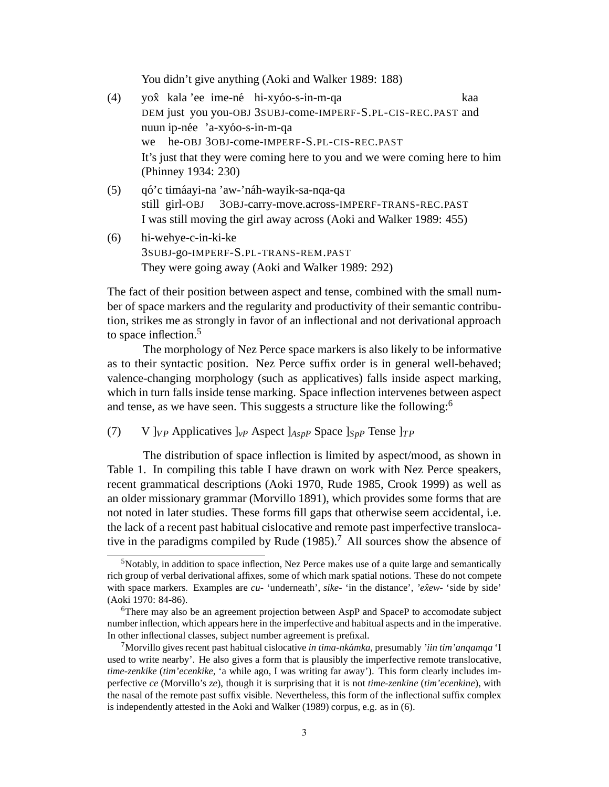You didn't give anything (Aoki and Walker 1989: 188)

- (4) yox kala 'ee ime-né hi-xyóo-s-in-m-qa DEM just you you-OBJ 3SUBJ-come-IMPERF-S.PL-CIS-REC.PAST and kaa nuun ip-née 'a-xyóo-s-in-m-qa we he-OBJ 3OBJ-come-IMPERF-S.PL-CIS-REC.PAST It's just that they were coming here to you and we were coming here to him (Phinney 1934: 230)
- (5) q´o'c tim´aayi-na 'aw-'n´ah-wayik-sa-nqa-qa still girl-OBJ 3OBJ-carry-move.across-IMPERF-TRANS-REC.PAST I was still moving the girl away across (Aoki and Walker 1989: 455)
- (6) hi-wehye-c-in-ki-ke 3SUBJ-go-IMPERF-S.PL-TRANS-REM.PAST They were going away (Aoki and Walker 1989: 292)

The fact of their position between aspect and tense, combined with the small number of space markers and the regularity and productivity of their semantic contribution, strikes me as strongly in favor of an inflectional and not derivational approach to space inflection.<sup>5</sup>

The morphology of Nez Perce space markers is also likely to be informative as to their syntactic position. Nez Perce suffix order is in general well-behaved; valence-changing morphology (such as applicatives) falls inside aspect marking, which in turn falls inside tense marking. Space inflection intervenes between aspect and tense, as we have seen. This suggests a structure like the following:<sup>6</sup>

(7) V  $\int_{VP}$  Applicatives  $\int_{VP}$  Aspect  $\int_{Asp}$  Space  $\int_{Sp}$  Tense  $\int_{TP}$ 

The distribution of space inflection is limited by aspect/mood, as shown in Table 1. In compiling this table I have drawn on work with Nez Perce speakers, recent grammatical descriptions (Aoki 1970, Rude 1985, Crook 1999) as well as an older missionary grammar (Morvillo 1891), which provides some forms that are not noted in later studies. These forms fill gaps that otherwise seem accidental, i.e. the lack of a recent past habitual cislocative and remote past imperfective translocative in the paradigms compiled by Rude  $(1985)$ .<sup>7</sup> All sources show the absence of

 $5$ Notably, in addition to space inflection, Nez Perce makes use of a quite large and semantically rich group of verbal derivational affixes, some of which mark spatial notions. These do not compete with space markers. Examples are *cu-* 'underneath', *sike-* 'in the distance', *'exew- ˆ* 'side by side' (Aoki 1970: 84-86).

<sup>6</sup>There may also be an agreement projection between AspP and SpaceP to accomodate subject number inflection, which appears here in the imperfective and habitual aspects and in the imperative. In other inflectional classes, subject number agreement is prefixal.

<sup>7</sup>Morvillo gives recent past habitual cislocative *in tima-nkamka ´* , presumably *'iin tim'anqamqa* 'I used to write nearby'. He also gives a form that is plausibly the imperfective remote translocative, *time-zenkike* (*tim'ecenkike*, 'a while ago, I was writing far away'). This form clearly includes imperfective *ce* (Morvillo's *ze*), though it is surprising that it is not *time-zenkine* (*tim'ecenkine*), with the nasal of the remote past suffix visible. Nevertheless, this form of the inflectional suffix complex is independently attested in the Aoki and Walker (1989) corpus, e.g. as in (6).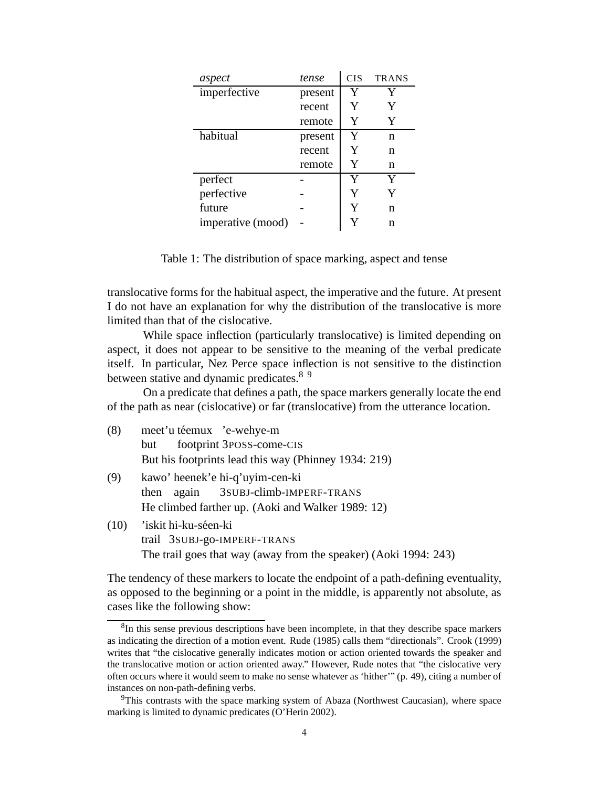| aspect            | tense   | <b>CIS</b> | <b>TRANS</b> |
|-------------------|---------|------------|--------------|
| imperfective      | present | Y          | Y            |
|                   | recent  | Y          | Y            |
|                   | remote  | Y          | Y            |
| habitual          | present | Y          | n            |
|                   | recent  | Y          | n            |
|                   | remote  | Y          | n            |
| perfect           |         | Y          | Y            |
| perfective        |         | Y          | Y            |
| future            |         | Y          | n            |
| imperative (mood) |         | Y          | n            |

Table 1: The distribution of space marking, aspect and tense

translocative forms for the habitual aspect, the imperative and the future. At present I do not have an explanation for why the distribution of the translocative is more limited than that of the cislocative.

While space inflection (particularly translocative) is limited depending on aspect, it does not appear to be sensitive to the meaning of the verbal predicate itself. In particular, Nez Perce space inflection is not sensitive to the distinction between stative and dynamic predicates.<sup>89</sup>

On a predicate that defines a path, the space markers generally locate the end of the path as near (cislocative) or far (translocative) from the utterance location.

| (8) |  | meet'u téemux 'e-wehye-m                             |
|-----|--|------------------------------------------------------|
|     |  | but footprint 3POSS-come-CIS                         |
|     |  | But his footprints lead this way (Phinney 1934: 219) |

- (9) kawo' heenek'e hi-q'uyim-cen-ki then again 3SUBJ-climb-IMPERF-TRANS He climbed farther up. (Aoki and Walker 1989: 12)
- (10) 'iskit hi-ku-séen-ki trail 3SUBJ-go-IMPERF-TRANS The trail goes that way (away from the speaker) (Aoki 1994: 243)

The tendency of these markers to locate the endpoint of a path-defining eventuality, as opposed to the beginning or a point in the middle, is apparently not absolute, as cases like the following show:

<sup>&</sup>lt;sup>8</sup>In this sense previous descriptions have been incomplete, in that they describe space markers as indicating the direction of a motion event. Rude (1985) calls them "directionals". Crook (1999) writes that "the cislocative generally indicates motion or action oriented towards the speaker and the translocative motion or action oriented away." However, Rude notes that "the cislocative very often occurs where it would seem to make no sense whatever as 'hither'" (p. 49), citing a number of instances on non-path-defining verbs.

<sup>&</sup>lt;sup>9</sup>This contrasts with the space marking system of Abaza (Northwest Caucasian), where space marking is limited to dynamic predicates (O'Herin 2002).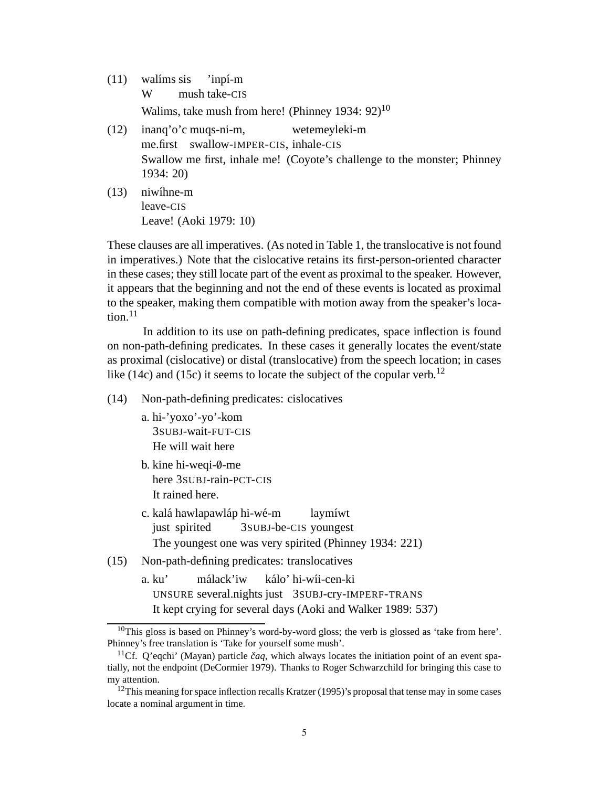- $(11)$  walíms sis W mush take-CIS 'inpí-m Walims, take mush from here! (Phinney 1934: 92)<sup>10</sup> (12) inanq'o'c muqs-ni-m, wetemeyleki-m
- me.first swallow-IMPER-CIS, inhale-CIS Swallow me first, inhale me! (Coyote's challenge to the monster; Phinney 1934: 20)
- $(13)$  niwîhne-m leave-CIS Leave! (Aoki 1979: 10)

These clauses are all imperatives. (As noted in Table 1, the translocative is not found in imperatives.) Note that the cislocative retains its first-person-oriented character in these cases; they still locate part of the event as proximal to the speaker. However, it appears that the beginning and not the end of these events is located as proximal to the speaker, making them compatible with motion away from the speaker's location. $11$ 

In addition to its use on path-defining predicates, space inflection is found on non-path-defining predicates. In these cases it generally locates the event/state as proximal (cislocative) or distal (translocative) from the speech location; in cases like (14c) and (15c) it seems to locate the subject of the copular verb.<sup>12</sup>

(14) Non-path-defining predicates: cislocatives

- a. hi-'yoxo'-yo'-kom 3SUBJ-wait-FUT-CIS He will wait here
- b. kine hi-weqi-0-me here 3SUBJ-rain-PCT-CIS It rained here.
- c. kalá hawlapawláp hi-wé-m just spirited 3SUBJ-be-CIS youngest laymíwt The youngest one was very spirited (Phinney 1934: 221)
- (15) Non-path-defining predicates: translocatives
	- a. ku' UNSURE several.nights just 3SUBJ-cry-IMPERF-TRANS málack'iw kálo' hi-wíi-cen-ki It kept crying for several days (Aoki and Walker 1989: 537)

<sup>&</sup>lt;sup>10</sup>This gloss is based on Phinney's word-by-word gloss; the verb is glossed as 'take from here'. Phinney's free translation is 'Take for yourself some mush'.

<sup>&</sup>lt;sup>11</sup>Cf. Q'eqchi' (Mayan) particle  $\check{c}aq$ , which always locates the initiation point of an event spatially, not the endpoint (DeCormier 1979). Thanks to Roger Schwarzchild for bringing this case to my attention.

<sup>&</sup>lt;sup>12</sup>This meaning for space inflection recalls Kratzer (1995)'s proposal that tense may in some cases locate a nominal argument in time.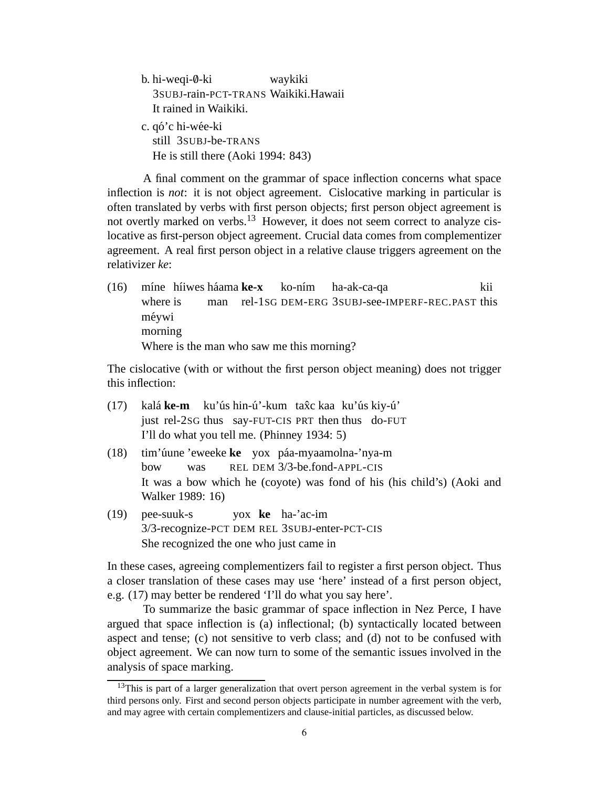b. hi-weqi-0-ki 3SUBJ-rain-PCT-TRANS Waikiki.Hawaii waykiki It rained in Waikiki. c. qó'c hi-wée-ki still 3SUBJ-be-TRANS He is still there (Aoki 1994: 843)

A final comment on the grammar of space inflection concerns what space inflection is *not*: it is not object agreement. Cislocative marking in particular is often translated by verbs with first person objects; first person object agreement is not overtly marked on verbs.<sup>13</sup> However, it does not seem correct to analyze cislocative as first-person object agreement. Crucial data comes from complementizer agreement. A real first person object in a relative clause triggers agreement on the relativizer *ke*:

(16) míne híiwes háama ke-x where is man rel-1SG DEM-ERG 3SUBJ-see-IMPERF-REC.PAST this ko-ním ha-ak-ca-qa kii méywi morning Where is the man who saw me this morning?

The cislocative (with or without the first person object meaning) does not trigger this inflection:

- $(17)$ just rel-2SG thus say-FUT-CIS PRT then thus do-FUT ke-m ku'ús hin-ú'-kum tax̂c kaa ku'ús kiy-ú' I'll do what you tell me. (Phinney 1934: 5)
- (18) tim'úune 'eweeke ke yox páa-myaamolna-'nya-m bow was REL DEM 3/3-be.fond-APPL-CIS It was a bow which he (coyote) was fond of his (his child's) (Aoki and Walker 1989: 16)
- (19) pee-suuk-s 3/3-recognize-PCT DEM REL 3SUBJ-enter-PCT-CIS yox **ke** ha-'ac-im She recognized the one who just came in

In these cases, agreeing complementizers fail to register a first person object. Thus a closer translation of these cases may use 'here' instead of a first person object, e.g. (17) may better be rendered 'I'll do what you say here'.

To summarize the basic grammar of space inflection in Nez Perce, I have argued that space inflection is (a) inflectional; (b) syntactically located between aspect and tense; (c) not sensitive to verb class; and (d) not to be confused with object agreement. We can now turn to some of the semantic issues involved in the analysis of space marking.

<sup>&</sup>lt;sup>13</sup>This is part of a larger generalization that overt person agreement in the verbal system is for third persons only. First and second person objects participate in number agreement with the verb, and may agree with certain complementizers and clause-initial particles, as discussed below.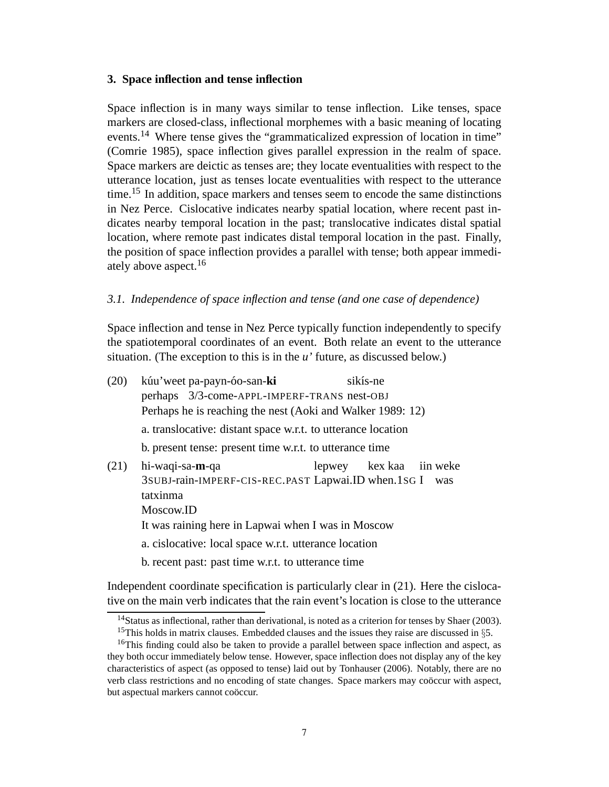## **3. Space inflection and tense inflection**

Space inflection is in many ways similar to tense inflection. Like tenses, space markers are closed-class, inflectional morphemes with a basic meaning of locating events.<sup>14</sup> Where tense gives the "grammaticalized expression of location in time" (Comrie 1985), space inflection gives parallel expression in the realm of space. Space markers are deictic as tenses are; they locate eventualities with respect to the utterance location, just as tenses locate eventualities with respect to the utterance time.<sup>15</sup> In addition, space markers and tenses seem to encode the same distinctions in Nez Perce. Cislocative indicates nearby spatial location, where recent past indicates nearby temporal location in the past; translocative indicates distal spatial location, where remote past indicates distal temporal location in the past. Finally, the position of space inflection provides a parallel with tense; both appear immediately above aspect.<sup>16</sup>

## *3.1. Independence of space inflection and tense (and one case of dependence)*

Space inflection and tense in Nez Perce typically function independently to specify the spatiotemporal coordinates of an event. Both relate an event to the utterance situation. (The exception to this is in the *u'* future, as discussed below.)

| (20) | kúu'weet pa-payn-óo-san-ki                                                                                                                                                                                                                                           |  | sikís-ne                |  |     |  |  |  |
|------|----------------------------------------------------------------------------------------------------------------------------------------------------------------------------------------------------------------------------------------------------------------------|--|-------------------------|--|-----|--|--|--|
|      | perhaps 3/3-come-APPL-IMPERF-TRANS nest-OBJ<br>Perhaps he is reaching the nest (Aoki and Walker 1989: 12)                                                                                                                                                            |  |                         |  |     |  |  |  |
|      | a. translocative: distant space w.r.t. to utterance location                                                                                                                                                                                                         |  |                         |  |     |  |  |  |
|      | b. present tense: present time w.r.t. to utterance time                                                                                                                                                                                                              |  |                         |  |     |  |  |  |
| (21) | hi-waqi-sa-m-qa<br>3SUBJ-rain-IMPERF-CIS-REC.PAST Lapwai.ID when.1SG I<br>tatxinma<br>Moscow.ID<br>It was raining here in Lapwai when I was in Moscow<br>a. cislocative: local space w.r.t. utterance location<br>b. recent past: past time w.r.t. to utterance time |  | lepwey kex kaa iin weke |  | was |  |  |  |
|      |                                                                                                                                                                                                                                                                      |  |                         |  |     |  |  |  |

Independent coordinate specification is particularly clear in (21). Here the cislocative on the main verb indicates that the rain event's location is close to the utterance

<sup>&</sup>lt;sup>14</sup>Status as inflectional, rather than derivational, is noted as a criterion for tenses by Shaer (2003).

<sup>&</sup>lt;sup>15</sup>This holds in matrix clauses. Embedded clauses and the issues they raise are discussed in  $\S$ .

<sup>&</sup>lt;sup>16</sup>This finding could also be taken to provide a parallel between space inflection and aspect, as they both occur immediately below tense. However, space inflection does not display any of the key characteristics of aspect (as opposed to tense) laid out by Tonhauser (2006). Notably, there are no verb class restrictions and no encoding of state changes. Space markers may coöccur with aspect, but aspectual markers cannot coöccur.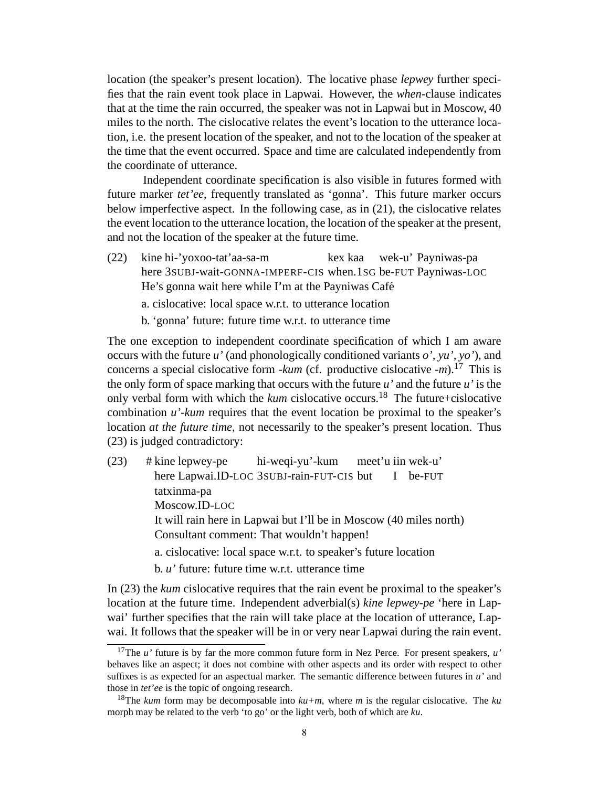location (the speaker's present location). The locative phase *lepwey* further specifies that the rain event took place in Lapwai. However, the *when*-clause indicates that at the time the rain occurred, the speaker was not in Lapwai but in Moscow, 40 miles to the north. The cislocative relates the event's location to the utterance location, i.e. the present location of the speaker, and not to the location of the speaker at the time that the event occurred. Space and time are calculated independently from the coordinate of utterance.

Independent coordinate specification is also visible in futures formed with future marker *tet'ee*, frequently translated as 'gonna'. This future marker occurs below imperfective aspect. In the following case, as in (21), the cislocative relates the event location to the utterance location, the location of the speaker at the present, and not the location of the speaker at the future time.

 $(22)$ here 3SUBJ-wait-GONNA-IMPERF-CIS when.1SG be-FUT Payniwas-LOC hi-'yoxoo-tat'aa-sa-m kex kaa wek-u' Payniwas-pa He's gonna wait here while I'm at the Payniwas Café a. cislocative: local space w.r.t. to utterance location b. 'gonna' future: future time w.r.t. to utterance time

The one exception to independent coordinate specification of which I am aware occurs with the future *u'* (and phonologically conditioned variants *o', yu', yo'*), and concerns a special cislocative form *-kum* (cf. productive cislocative *-m*).<sup>17</sup> This is the only form of space marking that occurs with the future *u'* and the future *u'* is the only verbal form with which the *kum* cislocative occurs.<sup>18</sup> The future+cislocative combination *u'-kum* requires that the event location be proximal to the speaker's location *at the future time*, not necessarily to the speaker's present location. Thus (23) is judged contradictory:

- (23) # kine lepwey-pe here Lapwai.ID-LOC 3SUBJ-rain-FUT-CIS but hi-weqi-yu'-kum meet'u iin wek-u' I be-FUT tatxinma-pa Moscow.ID-LOC It will rain here in Lapwai but I'll be in Moscow (40 miles north) Consultant comment: That wouldn't happen! a. cislocative: local space w.r.t. to speaker's future location
	- b. *u'* future: future time w.r.t. utterance time

In (23) the *kum* cislocative requires that the rain event be proximal to the speaker's location at the future time. Independent adverbial(s) *kine lepwey-pe* 'here in Lapwai' further specifies that the rain will take place at the location of utterance, Lapwai. It follows that the speaker will be in or very near Lapwai during the rain event.

<sup>&</sup>lt;sup>17</sup>The *u*' future is by far the more common future form in Nez Perce. For present speakers, *u*' behaves like an aspect; it does not combine with other aspects and its order with respect to other suffixes is as expected for an aspectual marker. The semantic difference between futures in *u'* and those in *tet'ee* is the topic of ongoing research.

<sup>&</sup>lt;sup>18</sup>The *kum* form may be decomposable into  $ku+m$ , where *m* is the regular cislocative. The *ku* morph may be related to the verb 'to go' or the light verb, both of which are *ku*.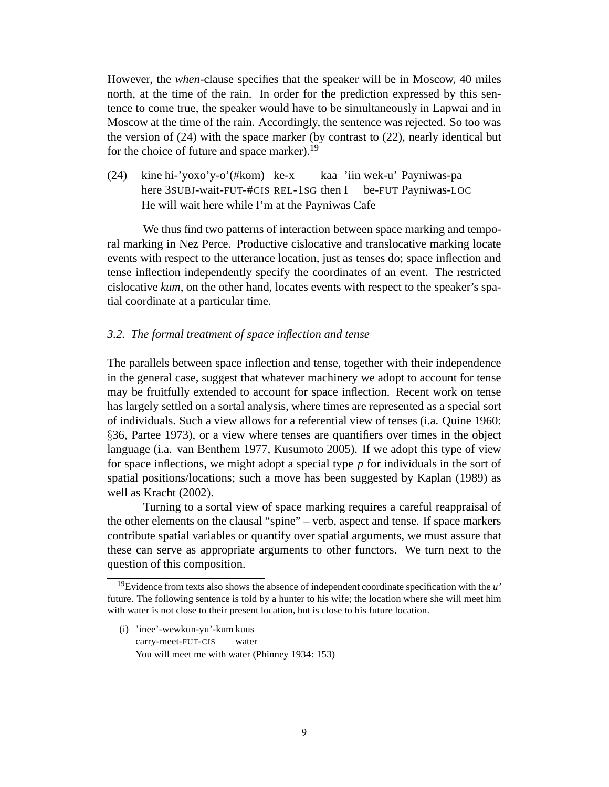However, the *when*-clause specifies that the speaker will be in Moscow, 40 miles north, at the time of the rain. In order for the prediction expressed by this sentence to come true, the speaker would have to be simultaneously in Lapwai and in Moscow at the time of the rain. Accordingly, the sentence was rejected. So too was the version of (24) with the space marker (by contrast to (22), nearly identical but for the choice of future and space marker).<sup>19</sup>

 $(24)$ here 3SUBJ-wait-FUT-#CIS REL-1SG then I hi-'yoxo'y-o'(#kom) ke-x kaa 'iin wek-u' Payniwas-pa be-FUT Payniwas-LOC He will wait here while I'm at the Payniwas Cafe

We thus find two patterns of interaction between space marking and temporal marking in Nez Perce. Productive cislocative and translocative marking locate events with respect to the utterance location, just as tenses do; space inflection and tense inflection independently specify the coordinates of an event. The restricted cislocative *kum*, on the other hand, locates events with respect to the speaker's spatial coordinate at a particular time.

### *3.2. The formal treatment of space inflection and tense*

The parallels between space inflection and tense, together with their independence in the general case, suggest that whatever machinery we adopt to account for tense may be fruitfully extended to account for space inflection. Recent work on tense has largely settled on a sortal analysis, where times are represented as a special sort of individuals. Such a view allows for a referential view of tenses (i.a. Quine 1960: §36, Partee 1973), or a view where tenses are quantifiers over times in the object language (i.a. van Benthem 1977, Kusumoto 2005). If we adopt this type of view for space inflections, we might adopt a special type *p* for individuals in the sort of spatial positions/locations; such a move has been suggested by Kaplan (1989) as well as Kracht (2002).

Turning to a sortal view of space marking requires a careful reappraisal of the other elements on the clausal "spine" – verb, aspect and tense. If space markers contribute spatial variables or quantify over spatial arguments, we must assure that these can serve as appropriate arguments to other functors. We turn next to the question of this composition.

(i) 'inee'-wewkun-yu'-kum kuus carry-meet-FUT-CIS water You will meet me with water (Phinney 1934: 153)

<sup>19</sup>Evidence from texts also shows the absence of independent coordinate specification with the *u'* future. The following sentence is told by a hunter to his wife; the location where she will meet him with water is not close to their present location, but is close to his future location.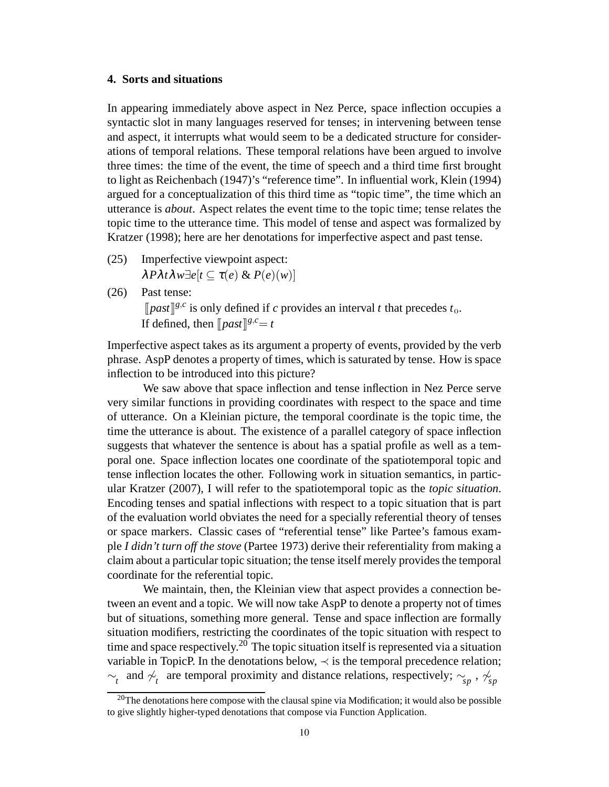## **4. Sorts and situations**

In appearing immediately above aspect in Nez Perce, space inflection occupies a syntactic slot in many languages reserved for tenses; in intervening between tense and aspect, it interrupts what would seem to be a dedicated structure for considerations of temporal relations. These temporal relations have been argued to involve three times: the time of the event, the time of speech and a third time first brought to light as Reichenbach (1947)'s "reference time". In influential work, Klein (1994) argued for a conceptualization of this third time as "topic time", the time which an utterance is *about*. Aspect relates the event time to the topic time; tense relates the topic time to the utterance time. This model of tense and aspect was formalized by Kratzer (1998); here are her denotations for imperfective aspect and past tense.

- (25) Imperfective viewpoint aspect: <sup>λ</sup>*P*λ*t*λ*w*∃*e*[*t* ⊆ <sup>τ</sup>(*e*) & *P*(*e*)(*w*)]
- (26) Past tense:

[[*past*][ $g, c$  is only defined if *c* provides an interval *t* that precedes  $t_0$ . If defined, then  $\left[ \frac{past}{\sqrt{g}} \right]$ 

Imperfective aspect takes as its argument a property of events, provided by the verb phrase. AspP denotes a property of times, which is saturated by tense. How is space inflection to be introduced into this picture?

We saw above that space inflection and tense inflection in Nez Perce serve very similar functions in providing coordinates with respect to the space and time of utterance. On a Kleinian picture, the temporal coordinate is the topic time, the time the utterance is about. The existence of a parallel category of space inflection suggests that whatever the sentence is about has a spatial profile as well as a temporal one. Space inflection locates one coordinate of the spatiotemporal topic and tense inflection locates the other. Following work in situation semantics, in particular Kratzer (2007), I will refer to the spatiotemporal topic as the *topic situation*. Encoding tenses and spatial inflections with respect to a topic situation that is part of the evaluation world obviates the need for a specially referential theory of tenses or space markers. Classic cases of "referential tense" like Partee's famous example *I didn't turn off the stove* (Partee 1973) derive their referentiality from making a claim about a particular topic situation; the tense itself merely provides the temporal coordinate for the referential topic.

We maintain, then, the Kleinian view that aspect provides a connection between an event and a topic. We will now take AspP to denote a property not of times but of situations, something more general. Tense and space inflection are formally situation modifiers, restricting the coordinates of the topic situation with respect to time and space respectively.<sup>20</sup> The topic situation itself is represented via a situation variable in TopicP. In the denotations below,  $\prec$  is the temporal precedence relation;  $\sim_t$  and  $\not\sim_t$  are temporal proximity and distance relations, respectively;  $\sim_{sp}$ ,  $\sim_{sp}^{\ell}$ 

 $20$ The denotations here compose with the clausal spine via Modification; it would also be possible to give slightly higher-typed denotations that compose via Function Application.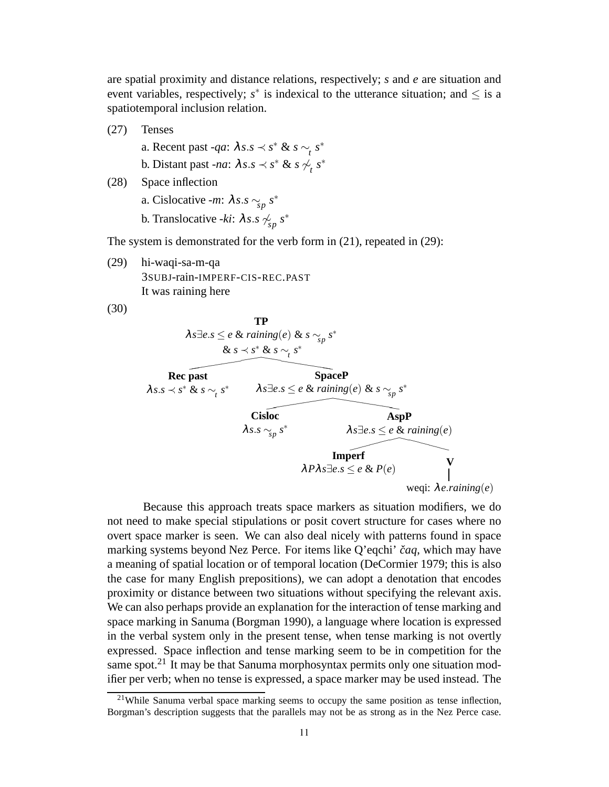are spatial proximity and distance relations, respectively; *s* and *e* are situation and event variables, respectively;  $s^*$  is indexical to the utterance situation; and  $\leq$  is a spatiotemporal inclusion relation.

- (27) Tenses
	- a. Recent past *-qa*:  $\lambda s.s \prec s^* \& s \sim_t s^*$ b. Distant past *-na*:  $\lambda s.s \prec s^* \& s \not\sim_t s^*$
- (28) Space inflection
	- a. Cislocative *-m*: <sup>λ</sup>*s*.*s* ∼*sp s* ∗
	- b. Translocative *-ki*:  $\lambda s.s \nightharpoonup_{sp} s^*$

The system is demonstrated for the verb form in (21), repeated in (29):

(29) hi-waqi-sa-m-qa 3SUBJ-rain-IMPERF-CIS-REC.PAST It was raining here

(30)

**TP**  $\lambda s \exists e.s \leq e \ \& \ raining(e) \ \& \ s \sim_{\mathop{sp}} s^*$ & *s* ≺ *s*<sup>\*</sup> & *s* ∼<sub>t</sub></sub> *s*<sup>\*</sup>  $\overline{\phantom{a}}$ **Rec past**  $λ$ *s*.*s*  $\prec$  *s*<sup>\*</sup> & *s*  $\sim_t$  *s*<sup>\*</sup> **SpaceP**  $\lambda s \exists e.s \leq e \& \operatorname{raining}(e) \& s \sim_{sp} s^*$  $\overline{\phantom{a}}$ **Cisloc** <sup>λ</sup>*s*.*s* ∼*sp s* ∗ **AspP**  $\lambda s \exists e.s \leq e \& \operatorname{raining}(e)$ **Imperf**  $λPλs∃e.s ≤ e & P(e)$   $V$ weqi: λ*e*.*raining*(*e*)

Because this approach treats space markers as situation modifiers, we do not need to make special stipulations or posit covert structure for cases where no overt space marker is seen. We can also deal nicely with patterns found in space marking systems beyond Nez Perce. For items like Q'eqchi' čaq, which may have a meaning of spatial location or of temporal location (DeCormier 1979; this is also the case for many English prepositions), we can adopt a denotation that encodes proximity or distance between two situations without specifying the relevant axis. We can also perhaps provide an explanation for the interaction of tense marking and space marking in Sanuma (Borgman 1990), a language where location is expressed in the verbal system only in the present tense, when tense marking is not overtly expressed. Space inflection and tense marking seem to be in competition for the same spot.<sup>21</sup> It may be that Sanuma morphosyntax permits only one situation modifier per verb; when no tense is expressed, a space marker may be used instead. The

 $21$ While Sanuma verbal space marking seems to occupy the same position as tense inflection, Borgman's description suggests that the parallels may not be as strong as in the Nez Perce case.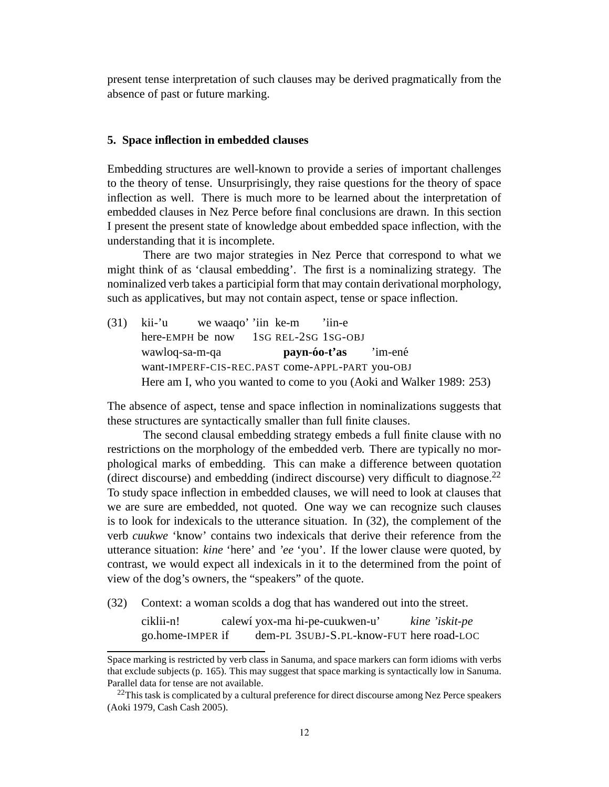present tense interpretation of such clauses may be derived pragmatically from the absence of past or future marking.

#### **5. Space inflection in embedded clauses**

Embedding structures are well-known to provide a series of important challenges to the theory of tense. Unsurprisingly, they raise questions for the theory of space inflection as well. There is much more to be learned about the interpretation of embedded clauses in Nez Perce before final conclusions are drawn. In this section I present the present state of knowledge about embedded space inflection, with the understanding that it is incomplete.

There are two major strategies in Nez Perce that correspond to what we might think of as 'clausal embedding'. The first is a nominalizing strategy. The nominalized verb takes a participial form that may contain derivational morphology, such as applicatives, but may not contain aspect, tense or space inflection.

(31) kii-'u here-EMPH be now we waaqo' 'iin ke-m 1SG REL-2SG 1SG-OBJ 'iin-e wawloq-sa-m-qa want-IMPERF-CIS-REC.PAST come-APPL-PART you-OBJ **payn-oo-t'as ´** 'im-ené Here am I, who you wanted to come to you (Aoki and Walker 1989: 253)

The absence of aspect, tense and space inflection in nominalizations suggests that these structures are syntactically smaller than full finite clauses.

The second clausal embedding strategy embeds a full finite clause with no restrictions on the morphology of the embedded verb. There are typically no morphological marks of embedding. This can make a difference between quotation (direct discourse) and embedding (indirect discourse) very difficult to diagnose.<sup>22</sup> To study space inflection in embedded clauses, we will need to look at clauses that we are sure are embedded, not quoted. One way we can recognize such clauses is to look for indexicals to the utterance situation. In (32), the complement of the verb *cuukwe* 'know' contains two indexicals that derive their reference from the utterance situation: *kine* 'here' and *'ee* 'you'. If the lower clause were quoted, by contrast, we would expect all indexicals in it to the determined from the point of view of the dog's owners, the "speakers" of the quote.

(32) Context: a woman scolds a dog that has wandered out into the street.

ciklii-n! go.home-IMPER if calewí yox-ma hi-pe-cuukwen-u' dem-PL 3SUBJ-S.PL-know-FUT here road-LOC *kine 'iskit-pe*

Space marking is restricted by verb class in Sanuma, and space markers can form idioms with verbs that exclude subjects (p. 165). This may suggest that space marking is syntactically low in Sanuma. Parallel data for tense are not available.

 $^{22}$ This task is complicated by a cultural preference for direct discourse among Nez Perce speakers (Aoki 1979, Cash Cash 2005).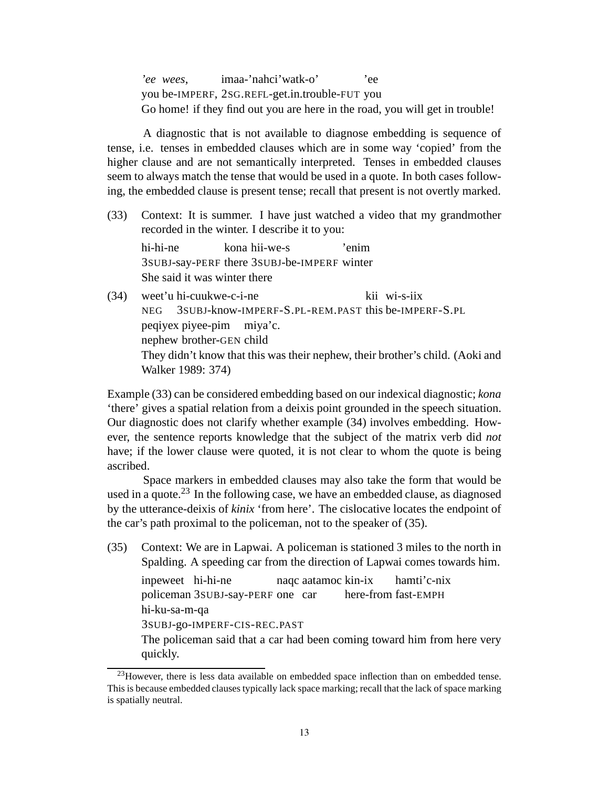*'ee wees*, you be-IMPERF, 2SG.REFL-get.in.trouble-FUT you imaa-'nahci'watk-o' 'ee Go home! if they find out you are here in the road, you will get in trouble!

A diagnostic that is not available to diagnose embedding is sequence of tense, i.e. tenses in embedded clauses which are in some way 'copied' from the higher clause and are not semantically interpreted. Tenses in embedded clauses seem to always match the tense that would be used in a quote. In both cases following, the embedded clause is present tense; recall that present is not overtly marked.

(33) Context: It is summer. I have just watched a video that my grandmother recorded in the winter. I describe it to you:

hi-hi-ne 3SUBJ-say-PERF there 3SUBJ-be-IMPERF winter kona hii-we-s 'enim She said it was winter there

(34) weet'u hi-cuukwe-c-i-ne NEG 3SUBJ-know-IMPERF-S.PL-REM.PAST this be-IMPERF-S.PL kii wi-s-iix peqiyex piyee-pim miya'c. nephew brother-GEN child They didn't know that this was their nephew, their brother's child. (Aoki and Walker 1989: 374)

Example (33) can be considered embedding based on our indexical diagnostic; *kona* 'there' gives a spatial relation from a deixis point grounded in the speech situation. Our diagnostic does not clarify whether example (34) involves embedding. However, the sentence reports knowledge that the subject of the matrix verb did *not* have; if the lower clause were quoted, it is not clear to whom the quote is being ascribed.

Space markers in embedded clauses may also take the form that would be used in a quote.<sup>23</sup> In the following case, we have an embedded clause, as diagnosed by the utterance-deixis of *kinix* 'from here'. The cislocative locates the endpoint of the car's path proximal to the policeman, not to the speaker of (35).

(35) Context: We are in Lapwai. A policeman is stationed 3 miles to the north in Spalding. A speeding car from the direction of Lapwai comes towards him.

inpeweet hi-hi-ne policeman 3SUBJ-say-PERF one car naqc aatamoc kin-ix here-from fast-EMPH hamti'c-nix hi-ku-sa-m-qa 3SUBJ-go-IMPERF-CIS-REC.PAST The policeman said that a car had been coming toward him from here very quickly.

 $^{23}$ However, there is less data available on embedded space inflection than on embedded tense. This is because embedded clauses typically lack space marking; recall that the lack of space marking is spatially neutral.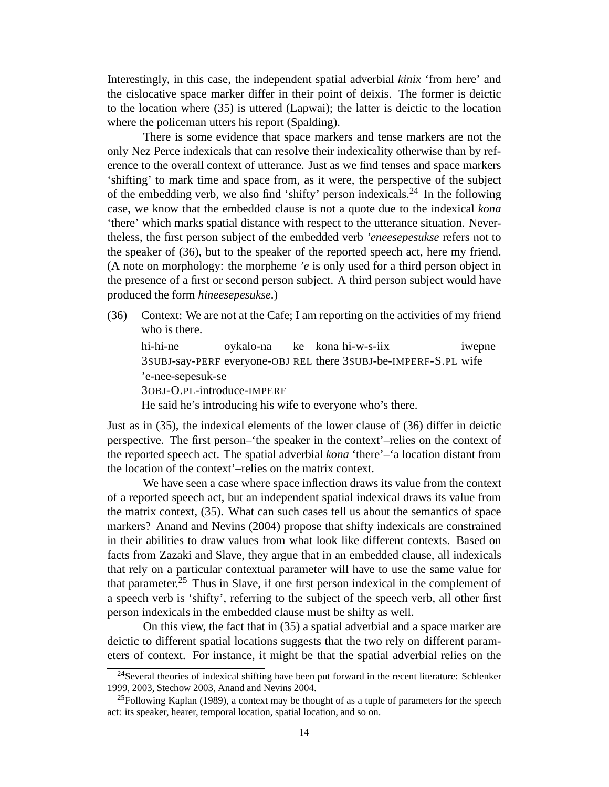Interestingly, in this case, the independent spatial adverbial *kinix* 'from here' and the cislocative space marker differ in their point of deixis. The former is deictic to the location where (35) is uttered (Lapwai); the latter is deictic to the location where the policeman utters his report (Spalding).

There is some evidence that space markers and tense markers are not the only Nez Perce indexicals that can resolve their indexicality otherwise than by reference to the overall context of utterance. Just as we find tenses and space markers 'shifting' to mark time and space from, as it were, the perspective of the subject of the embedding verb, we also find 'shifty' person indexicals.<sup>24</sup> In the following case, we know that the embedded clause is not a quote due to the indexical *kona* 'there' which marks spatial distance with respect to the utterance situation. Nevertheless, the first person subject of the embedded verb *'eneesepesukse* refers not to the speaker of (36), but to the speaker of the reported speech act, here my friend. (A note on morphology: the morpheme *'e* is only used for a third person object in the presence of a first or second person subject. A third person subject would have produced the form *hineesepesukse*.)

(36) Context: We are not at the Cafe; I am reporting on the activities of my friend who is there.

hi-hi-ne 3SUBJ-say-PERF everyone-OBJ REL there 3SUBJ-be-IMPERF-S.PL wife oykalo-na ke kona hi-w-s-iix iwepne 'e-nee-sepesuk-se 3OBJ-O.PL-introduce-IMPERF

He said he's introducing his wife to everyone who's there.

Just as in (35), the indexical elements of the lower clause of (36) differ in deictic perspective. The first person–'the speaker in the context'–relies on the context of the reported speech act. The spatial adverbial *kona* 'there'–'a location distant from the location of the context'–relies on the matrix context.

We have seen a case where space inflection draws its value from the context of a reported speech act, but an independent spatial indexical draws its value from the matrix context, (35). What can such cases tell us about the semantics of space markers? Anand and Nevins (2004) propose that shifty indexicals are constrained in their abilities to draw values from what look like different contexts. Based on facts from Zazaki and Slave, they argue that in an embedded clause, all indexicals that rely on a particular contextual parameter will have to use the same value for that parameter.<sup>25</sup> Thus in Slave, if one first person indexical in the complement of a speech verb is 'shifty', referring to the subject of the speech verb, all other first person indexicals in the embedded clause must be shifty as well.

On this view, the fact that in (35) a spatial adverbial and a space marker are deictic to different spatial locations suggests that the two rely on different parameters of context. For instance, it might be that the spatial adverbial relies on the

 $24$ Several theories of indexical shifting have been put forward in the recent literature: Schlenker 1999, 2003, Stechow 2003, Anand and Nevins 2004.

 $25$ Following Kaplan (1989), a context may be thought of as a tuple of parameters for the speech act: its speaker, hearer, temporal location, spatial location, and so on.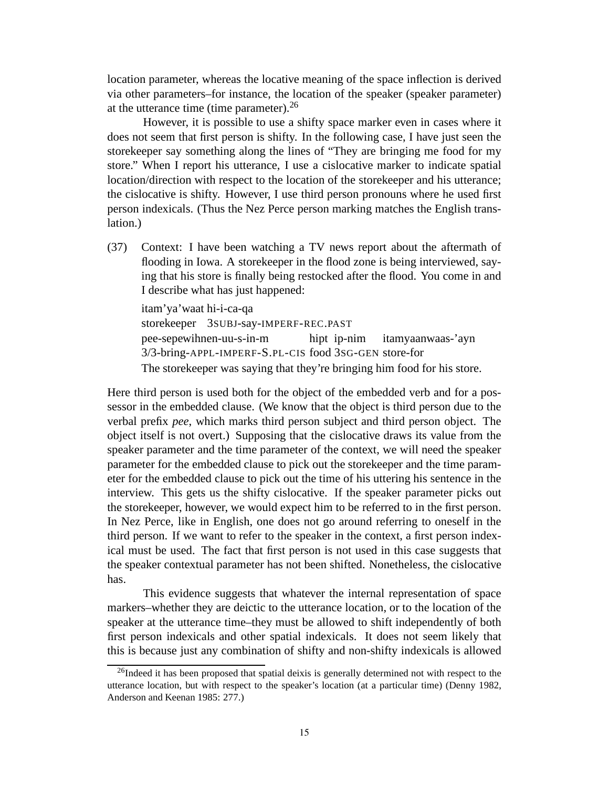location parameter, whereas the locative meaning of the space inflection is derived via other parameters–for instance, the location of the speaker (speaker parameter) at the utterance time (time parameter).<sup>26</sup>

However, it is possible to use a shifty space marker even in cases where it does not seem that first person is shifty. In the following case, I have just seen the storekeeper say something along the lines of "They are bringing me food for my store." When I report his utterance, I use a cislocative marker to indicate spatial location/direction with respect to the location of the storekeeper and his utterance; the cislocative is shifty. However, I use third person pronouns where he used first person indexicals. (Thus the Nez Perce person marking matches the English translation.)

(37) Context: I have been watching a TV news report about the aftermath of flooding in Iowa. A storekeeper in the flood zone is being interviewed, saying that his store is finally being restocked after the flood. You come in and I describe what has just happened:

itam'ya'waat hi-i-ca-qa storekeeper 3SUBJ-say-IMPERF-REC.PAST pee-sepewihnen-uu-s-in-m 3/3-bring-APPL-IMPERF-S.PL-CIS food 3SG-GEN store-for hipt ip-nim itamyaanwaas-'ayn The storekeeper was saying that they're bringing him food for his store.

Here third person is used both for the object of the embedded verb and for a possessor in the embedded clause. (We know that the object is third person due to the verbal prefix *pee*, which marks third person subject and third person object. The object itself is not overt.) Supposing that the cislocative draws its value from the speaker parameter and the time parameter of the context, we will need the speaker parameter for the embedded clause to pick out the storekeeper and the time parameter for the embedded clause to pick out the time of his uttering his sentence in the interview. This gets us the shifty cislocative. If the speaker parameter picks out the storekeeper, however, we would expect him to be referred to in the first person. In Nez Perce, like in English, one does not go around referring to oneself in the third person. If we want to refer to the speaker in the context, a first person indexical must be used. The fact that first person is not used in this case suggests that the speaker contextual parameter has not been shifted. Nonetheless, the cislocative has.

This evidence suggests that whatever the internal representation of space markers–whether they are deictic to the utterance location, or to the location of the speaker at the utterance time–they must be allowed to shift independently of both first person indexicals and other spatial indexicals. It does not seem likely that this is because just any combination of shifty and non-shifty indexicals is allowed

<sup>&</sup>lt;sup>26</sup>Indeed it has been proposed that spatial deixis is generally determined not with respect to the utterance location, but with respect to the speaker's location (at a particular time) (Denny 1982, Anderson and Keenan 1985: 277.)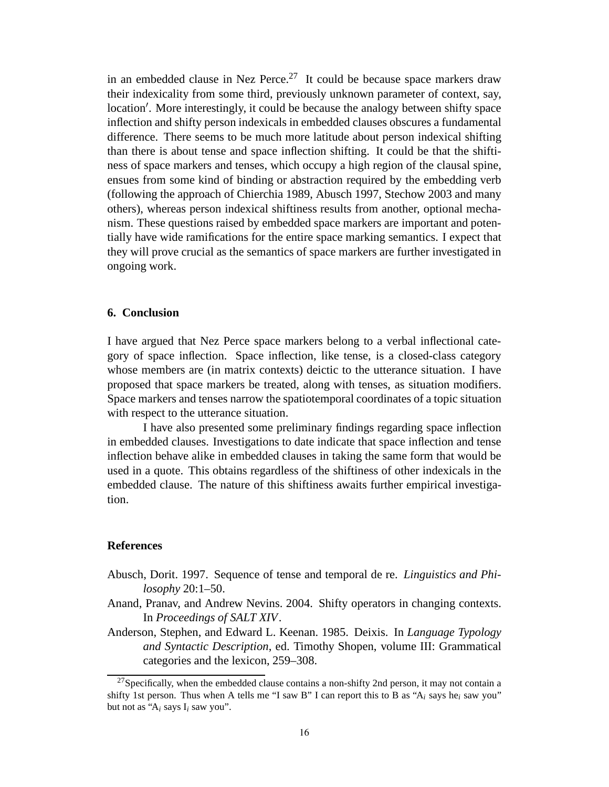in an embedded clause in Nez Perce.<sup>27</sup> It could be because space markers draw their indexicality from some third, previously unknown parameter of context, say, location′ . More interestingly, it could be because the analogy between shifty space inflection and shifty person indexicals in embedded clauses obscures a fundamental difference. There seems to be much more latitude about person indexical shifting than there is about tense and space inflection shifting. It could be that the shiftiness of space markers and tenses, which occupy a high region of the clausal spine, ensues from some kind of binding or abstraction required by the embedding verb (following the approach of Chierchia 1989, Abusch 1997, Stechow 2003 and many others), whereas person indexical shiftiness results from another, optional mechanism. These questions raised by embedded space markers are important and potentially have wide ramifications for the entire space marking semantics. I expect that they will prove crucial as the semantics of space markers are further investigated in ongoing work.

## **6. Conclusion**

I have argued that Nez Perce space markers belong to a verbal inflectional category of space inflection. Space inflection, like tense, is a closed-class category whose members are (in matrix contexts) deictic to the utterance situation. I have proposed that space markers be treated, along with tenses, as situation modifiers. Space markers and tenses narrow the spatiotemporal coordinates of a topic situation with respect to the utterance situation.

I have also presented some preliminary findings regarding space inflection in embedded clauses. Investigations to date indicate that space inflection and tense inflection behave alike in embedded clauses in taking the same form that would be used in a quote. This obtains regardless of the shiftiness of other indexicals in the embedded clause. The nature of this shiftiness awaits further empirical investigation.

## **References**

- Abusch, Dorit. 1997. Sequence of tense and temporal de re. *Linguistics and Philosophy* 20:1–50.
- Anand, Pranav, and Andrew Nevins. 2004. Shifty operators in changing contexts. In *Proceedings of SALT XIV*.
- Anderson, Stephen, and Edward L. Keenan. 1985. Deixis. In *Language Typology and Syntactic Description*, ed. Timothy Shopen, volume III: Grammatical categories and the lexicon, 259–308.

 $27$ Specifically, when the embedded clause contains a non-shifty 2nd person, it may not contain a shifty 1st person. Thus when A tells me "I saw B" I can report this to B as " $A_i$  says he<sub>i</sub> saw you" but not as " $A_i$  says  $I_i$  saw you".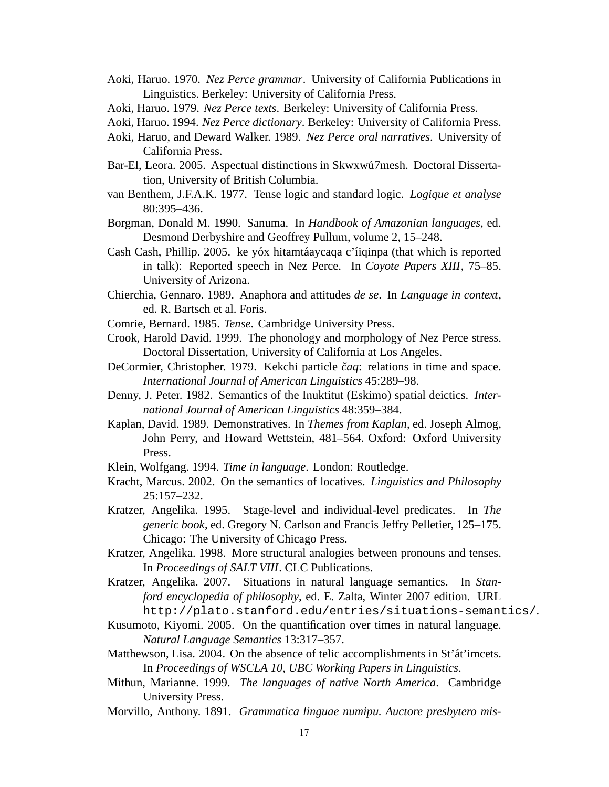- Aoki, Haruo. 1970. *Nez Perce grammar*. University of California Publications in Linguistics. Berkeley: University of California Press.
- Aoki, Haruo. 1979. *Nez Perce texts*. Berkeley: University of California Press.
- Aoki, Haruo. 1994. *Nez Perce dictionary*. Berkeley: University of California Press.
- Aoki, Haruo, and Deward Walker. 1989. *Nez Perce oral narratives*. University of California Press.
- Bar-El, Leora. 2005. Aspectual distinctions in Skwxwú7mesh. Doctoral Dissertation, University of British Columbia.
- van Benthem, J.F.A.K. 1977. Tense logic and standard logic. *Logique et analyse* 80:395–436.
- Borgman, Donald M. 1990. Sanuma. In *Handbook of Amazonian languages*, ed. Desmond Derbyshire and Geoffrey Pullum, volume 2, 15–248.
- Cash Cash, Phillip. 2005. ke yóx hitamtáaycaqa c'íiqinpa (that which is reported in talk): Reported speech in Nez Perce. In *Coyote Papers XIII*, 75–85. University of Arizona.
- Chierchia, Gennaro. 1989. Anaphora and attitudes *de se*. In *Language in context*, ed. R. Bartsch et al. Foris.
- Comrie, Bernard. 1985. *Tense*. Cambridge University Press.
- Crook, Harold David. 1999. The phonology and morphology of Nez Perce stress. Doctoral Dissertation, University of California at Los Angeles.
- DeCormier, Christopher. 1979. Kekchi particle čaq: relations in time and space. *International Journal of American Linguistics* 45:289–98.
- Denny, J. Peter. 1982. Semantics of the Inuktitut (Eskimo) spatial deictics. *International Journal of American Linguistics* 48:359–384.
- Kaplan, David. 1989. Demonstratives. In *Themes from Kaplan*, ed. Joseph Almog, John Perry, and Howard Wettstein, 481–564. Oxford: Oxford University Press.
- Klein, Wolfgang. 1994. *Time in language*. London: Routledge.
- Kracht, Marcus. 2002. On the semantics of locatives. *Linguistics and Philosophy* 25:157–232.
- Kratzer, Angelika. 1995. Stage-level and individual-level predicates. In *The generic book*, ed. Gregory N. Carlson and Francis Jeffry Pelletier, 125–175. Chicago: The University of Chicago Press.
- Kratzer, Angelika. 1998. More structural analogies between pronouns and tenses. In *Proceedings of SALT VIII*. CLC Publications.
- Kratzer, Angelika. 2007. Situations in natural language semantics. In *Stanford encyclopedia of philosophy*, ed. E. Zalta, Winter 2007 edition. URL http://plato.stanford.edu/entries/situations-semantics/.
- Kusumoto, Kiyomi. 2005. On the quantification over times in natural language. *Natural Language Semantics* 13:317–357.
- Matthewson, Lisa. 2004. On the absence of telic accomplishments in St'at'imcets. In *Proceedings of WSCLA 10, UBC Working Papers in Linguistics*.
- Mithun, Marianne. 1999. *The languages of native North America*. Cambridge University Press.
- Morvillo, Anthony. 1891. *Grammatica linguae numipu. Auctore presbytero mis-*